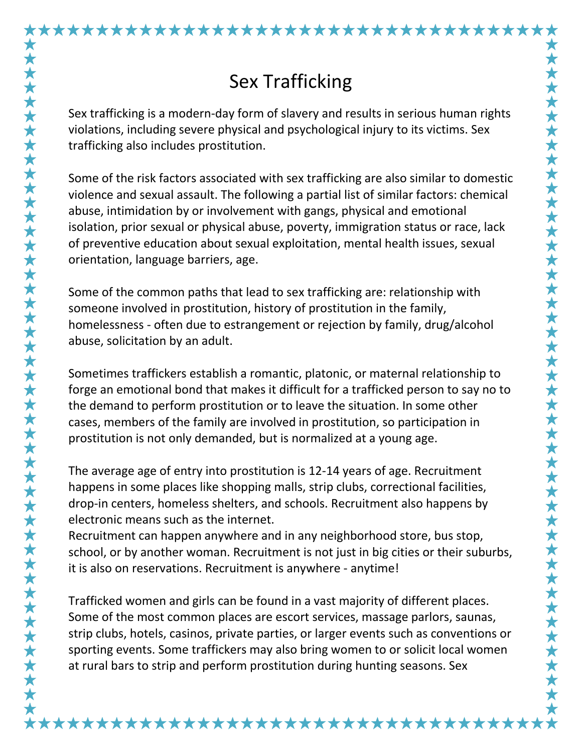\*\*\*\*\*\*\*\*\*\*\*\*\*\*\*\*\*\*\*\*\*\*\*\*\*\*\*\*\*\*\*\*\*\*\*\*

Sex trafficking is a modern-day form of slavery and results in serious human rights violations, including severe physical and psychological injury to its victims. Sex trafficking also includes prostitution.

Some of the risk factors associated with sex trafficking are also similar to domestic violence and sexual assault. The following a partial list of similar factors: chemical abuse, intimidation by or involvement with gangs, physical and emotional isolation, prior sexual or physical abuse, poverty, immigration status or race, lack of preventive education about sexual exploitation, mental health issues, sexual orientation, language barriers, age.

Some of the common paths that lead to sex trafficking are: relationship with someone involved in prostitution, history of prostitution in the family, homelessness - often due to estrangement or rejection by family, drug/alcohol abuse, solicitation by an adult.

Sometimes traffickers establish a romantic, platonic, or maternal relationship to forge an emotional bond that makes it difficult for a trafficked person to say no to the demand to perform prostitution or to leave the situation. In some other cases, members of the family are involved in prostitution, so participation in prostitution is not only demanded, but is normalized at a young age.

The average age of entry into prostitution is 12-14 years of age. Recruitment happens in some places like shopping malls, strip clubs, correctional facilities, drop-in centers, homeless shelters, and schools. Recruitment also happens by electronic means such as the internet.

Recruitment can happen anywhere and in any neighborhood store, bus stop, school, or by another woman. Recruitment is not just in big cities or their suburbs, it is also on reservations. Recruitment is anywhere - anytime!

Trafficked women and girls can be found in a vast majority of different places. Some of the most common places are escort services, massage parlors, saunas, strip clubs, hotels, casinos, private parties, or larger events such as conventions or sporting events. Some traffickers may also bring women to or solicit local women at rural bars to strip and perform prostitution during hunting seasons. Sex

\*\*\*\*\*\*\*\*\*\*\*\*\*\*\*\*\*\*\*\*\*\*\*\*\*\*\*\*\*\*\*